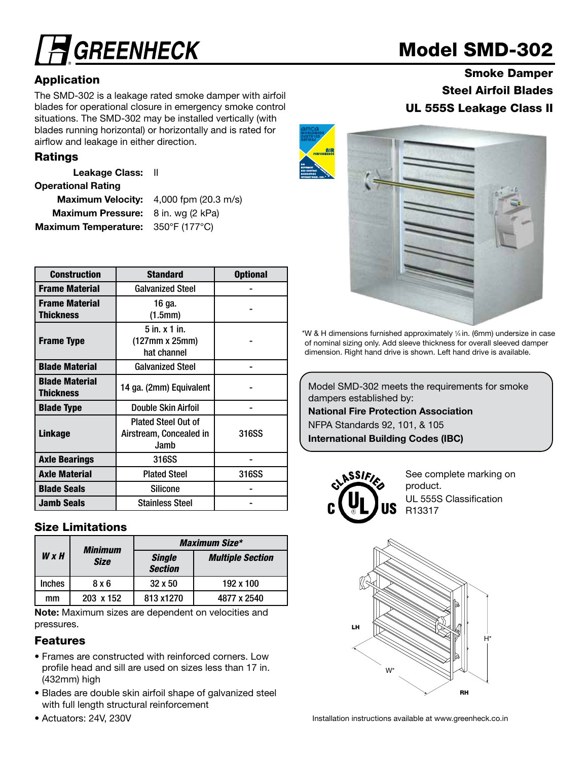# **GREENHECK**

## Application

The SMD-302 is a leakage rated smoke damper with airfoil blades for operational closure in emergency smoke control situations. The SMD-302 may be installed vertically (with blades running horizontal) or horizontally and is rated for airflow and leakage in either direction.

## Ratings

Leakage Class: II

#### Operational Rating

Maximum Velocity: 4,000 fpm (20.3 m/s) Maximum Pressure: 8 in. wg (2 kPa) Maximum Temperature: 350°F (177°C)

| <b>Construction</b>                | <b>Standard</b>                                               | <b>Optional</b> |
|------------------------------------|---------------------------------------------------------------|-----------------|
| <b>Frame Material</b>              | <b>Galvanized Steel</b>                                       |                 |
| <b>Frame Material</b><br>Thickness | 16 ga.<br>(1.5mm)                                             |                 |
| <b>Frame Type</b>                  | $5$ in. $x$ 1 in.<br>(127mm x 25mm)<br>hat channel            |                 |
| <b>Blade Material</b>              | <b>Galvanized Steel</b>                                       |                 |
| <b>Blade Material</b><br>Thickness | 14 ga. (2mm) Equivalent                                       |                 |
| <b>Blade Type</b>                  | Double Skin Airfoil                                           |                 |
| Linkage                            | <b>Plated Steel Out of</b><br>Airstream, Concealed in<br>Jamb | 316SS           |
| <b>Axle Bearings</b>               | 316SS                                                         |                 |
| <b>Axle Material</b>               | <b>Plated Steel</b>                                           | 316SS           |
| <b>Blade Seals</b>                 | <b>Silicone</b>                                               |                 |
| <b>Jamb Seals</b>                  | <b>Stainless Steel</b>                                        |                 |

### Size Limitations

|               | Minimum     |                                 | <b>Maximum Size*</b>    |  |  |  |
|---------------|-------------|---------------------------------|-------------------------|--|--|--|
| W x H         | <b>Size</b> | <b>Single</b><br><b>Section</b> | <b>Multiple Section</b> |  |  |  |
| <b>Inches</b> | 8 x 6       | $32 \times 50$                  | 192 x 100               |  |  |  |
| mm            | 203 x 152   | 813 x1270                       | 4877 x 2540             |  |  |  |

Note: Maximum sizes are dependent on velocities and pressures.

### Features

- Frames are constructed with reinforced corners. Low profile head and sill are used on sizes less than 17 in. (432mm) high
- Blades are double skin airfoil shape of galvanized steel with full length structural reinforcement
- Actuators: 24V, 230V

# Model SMD-302

Smoke Damper Steel Airfoil Blades UL 555S Leakage Class II



\*W & H dimensions furnished approximately 1 ⁄4 in. (6mm) undersize in case of nominal sizing only. Add sleeve thickness for overall sleeved damper dimension. Right hand drive is shown. Left hand drive is available.

Model SMD-302 meets the requirements for smoke dampers established by:

National Fire Protection Association NFPA Standards 92, 101, & 105

International Building Codes (IBC)



See complete marking on product. UL 555S Classification R13317



Installation instructions available at www.greenheck.co.in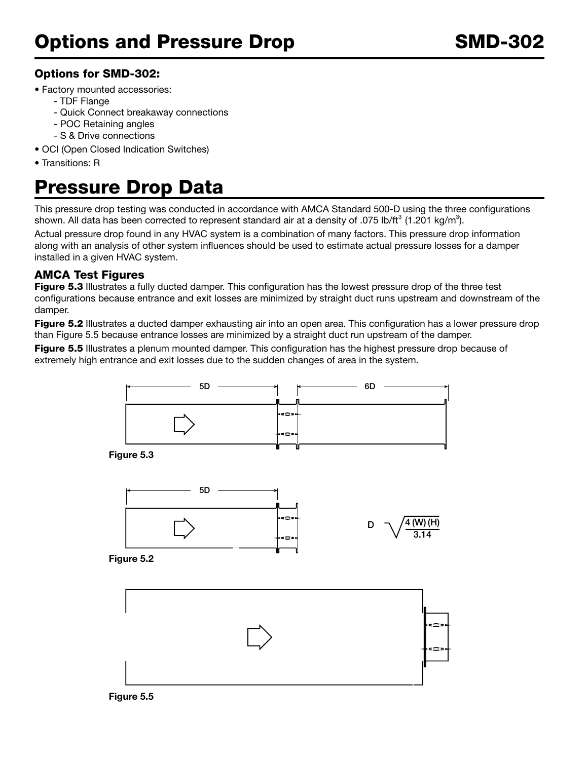### Options for SMD-302:

- Factory mounted accessories:
	- TDF Flange
	- Quick Connect breakaway connections
	- POC Retaining angles
	- S & Drive connections
- OCI (Open Closed Indication Switches)
- Transitions: R

## Pressure Drop Data

This pressure drop testing was conducted in accordance with AMCA Standard 500-D using the three configurations shown. All data has been corrected to represent standard air at a density of .075 lb/ft<sup>3</sup> (1.201 kg/m<sup>3</sup>).

Actual pressure drop found in any HVAC system is a combination of many factors. This pressure drop information along with an analysis of other system influences should be used to estimate actual pressure losses for a damper installed in a given HVAC system.

#### AMCA Test Figures

Figure 5.3 Illustrates a fully ducted damper. This configuration has the lowest pressure drop of the three test configurations because entrance and exit losses are minimized by straight duct runs upstream and downstream of the damper.

Figure 5.2 Illustrates a ducted damper exhausting air into an open area. This configuration has a lower pressure drop than Figure 5.5 because entrance losses are minimized by a straight duct run upstream of the damper.

Figure 5.5 Illustrates a plenum mounted damper. This configuration has the highest pressure drop because of extremely high entrance and exit losses due to the sudden changes of area in the system.



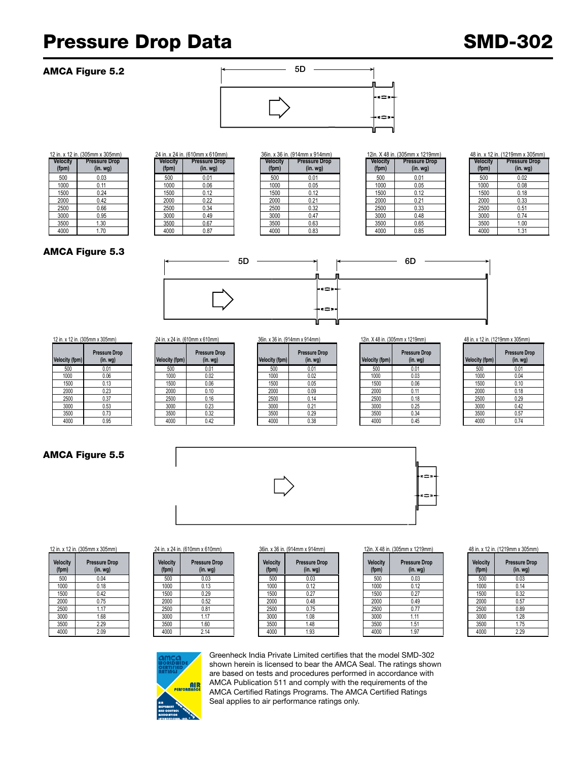## Pressure Drop Data SMD-302

#### AMCA Figure 5.2



| n. (305mm x 305mm)   |  |
|----------------------|--|
| <b>Pressure Drop</b> |  |
| (in.wg)              |  |
| 0.03                 |  |
| 0.11                 |  |
| 0.24                 |  |
| 0.42                 |  |
| 0.66                 |  |
| 0.95                 |  |
| 1.30                 |  |
| 170                  |  |

|                 | 24 in. x 24 in. (610mm x 610mm) |  |
|-----------------|---------------------------------|--|
| <b>Velocity</b> | <b>Pressure Drop</b>            |  |
| (fpm)           | $(in.$ wg $)$                   |  |
| 500             | 0.01                            |  |
| 1000            | 0.06                            |  |
| 1500            | 0.12                            |  |
| 2000            | 0.22                            |  |
| 2500            | 0.34                            |  |
| 3000            | 0.49                            |  |
| 3500            | 0.67                            |  |
| 4000            | 0.87                            |  |

|         | II. A TZ III. (JUJIIIIII A JUJIIIIII) |                 | 4 TH. A 4 TH. (U I VIIIIII A U I VIIIIII) |                 | JUIII. A JU III. (19 HIIIIII A 19 HIIIIII) |                 | 12111. A 40 111. (JUJIIIIII A 12 I JIIIIII) | 40 III. A IZ III. (IZ IVIIIIII A |          |
|---------|---------------------------------------|-----------------|-------------------------------------------|-----------------|--------------------------------------------|-----------------|---------------------------------------------|----------------------------------|----------|
| elocity | <b>Pressure Drop</b>                  | <b>Velocity</b> | <b>Pressure Drop</b>                      | <b>Velocity</b> | <b>Pressure Drop</b>                       | <b>Velocity</b> | <b>Pressure Drop</b>                        | <b>Velocity</b>                  | Pressure |
| (fpm)   | (in.wg)                               | (fpm)           | (in. <i>wg</i> )                          | (fpm)           | (in. wg)                                   | (fpm)           | (in. <i>wg</i> )                            | (fpm)                            | $(in.$ w |
| 500     | 0.03                                  | 500             | 0.01                                      | 500             | 0.01                                       | 500             | 0.01                                        | 500                              | 0.02     |
| 1000    | 0.11                                  | 1000            | 0.06                                      | 1000            | 0.05                                       | 1000            | 0.05                                        | 1000                             | 0.08     |
| 1500    | 0.24                                  | 1500            | 0.12                                      | 1500            | 0.12                                       | 1500            | 0.12                                        | 1500                             | 0.18     |
| 2000    | 0.42                                  | 2000            | 0.22                                      | 2000            | 0.21                                       | 2000            | 0.21                                        | 2000                             | 0.33     |
| 2500    | 0.66                                  | 2500            | 0.34                                      | 2500            | 0.32                                       | 2500            | 0.33                                        | 2500                             | 0.51     |
| 3000    | 0.95                                  | 3000            | 0.49                                      | 3000            | 0.47                                       | 3000            | 0.48                                        | 3000                             | 0.74     |
| 3500    | 1.30                                  | 3500            | 0.67                                      | 3500            | 0.63                                       | 3500            | 0.65                                        | 3500                             | 1.00     |
| 4000    | 1.70                                  | 4000            | 0.87                                      | 4000            | 0.83                                       | 4000            | 0.85                                        | 4000                             | 1.31     |
|         |                                       |                 |                                           |                 |                                            |                 |                                             |                                  |          |

|                          | 12 in. x 12 in. (305mm x 305mm) |                          | 24 in. x 24 in. (610mm x 610mm)  |                          | 36in. x 36 in. (914mm x 914mm)  |                          | 12in. X 48 in. (305mm x 1219mm) |                          | 48 in. x 12 in. (1219mm x 305mm) |
|--------------------------|---------------------------------|--------------------------|----------------------------------|--------------------------|---------------------------------|--------------------------|---------------------------------|--------------------------|----------------------------------|
| <b>Velocity</b><br>(fpm) | <b>Pressure Drop</b><br>(in.wg) | <b>Velocity</b><br>(fpm) | <b>Pressure Drop</b><br>(in. wg) | <b>Velocity</b><br>(fpm) | <b>Pressure Drop</b><br>(in.wg) | <b>Velocity</b><br>(fpm) | <b>Pressure Drop</b><br>(in.wg) | <b>Velocity</b><br>(fpm) | <b>Pressure Drop</b><br>(in. wg) |
| 500                      | 0.03                            | 500                      | 0.01                             | 500                      | 0.01                            | 500                      | 0.01                            | 500                      | 0.02                             |
| 1000                     | 0.11                            | 1000                     | 0.06                             | 1000                     | 0.05                            | 1000                     | 0.05                            | 1000                     | 0.08                             |
| 1500                     | 0.24                            | 1500                     | 0.12                             | 1500                     | 0.12                            | 1500                     | 0.12                            | 1500                     | 0.18                             |
| 2000                     | 0.42                            | 2000                     | 0.22                             | 2000                     | 0.21                            | 2000                     | 0.21                            | 2000                     | 0.33                             |
| 2500                     | 0.66                            | 2500                     | 0.34                             | 2500                     | 0.32                            | 2500                     | 0.33                            | 2500                     | 0.51                             |
| 3000                     | 0.95                            | 3000                     | 0.49                             | 3000                     | 0.47                            | 3000                     | 0.48                            | 3000                     | 0.74                             |
| 3500                     | 1.30                            | 3500                     | 0.67                             | 3500                     | 0.63                            | 3500                     | 0.65                            | 3500                     | 1.00                             |
| 4000                     | 1.70                            | 4000                     | 0.87                             | 4000                     | 0.83                            | 4000                     | 0.85                            | 4000                     | 1.31                             |

| Velocity<br>(fpm) | <b>Pressure Drop</b><br>$(in.$ wg $)$ |
|-------------------|---------------------------------------|
| 500               | 0.02                                  |
| 1000              | 0.08                                  |
| 1500              | 0.18                                  |
| 2000              | 0.33                                  |
| 2500              | 0.51                                  |
| 3000              | 0.74                                  |
| 3500              | 1.00                                  |
| 4000              | 1.31                                  |

#### AMCA Figure 5.3



| 12 in. x 12 in. (305mm x 305mm) |                                          |  |  |  |  |  |
|---------------------------------|------------------------------------------|--|--|--|--|--|
| Velocity (fpm)                  | <b>Pressure Drop</b><br>(in. <i>wg</i> ) |  |  |  |  |  |
| 500                             | 0.01                                     |  |  |  |  |  |
| 1000                            | 0.06                                     |  |  |  |  |  |
| 1500                            | 0.13                                     |  |  |  |  |  |
| 2000                            | 0.23                                     |  |  |  |  |  |
| 2500                            | 0.37                                     |  |  |  |  |  |
| 3000                            | 0.53                                     |  |  |  |  |  |
| 3500                            | 0.73                                     |  |  |  |  |  |
| 4000                            | 0.95                                     |  |  |  |  |  |

# **(in. wg) Velocity (fpm) Pressure Drop**   $(in. wg)$

| city (fpm) | <b>Pressure Drop</b><br>(in. <i>wg</i> ) | Velocity (fpm) | <b>Pressure Drop</b><br>(in. <i>wg</i> ) | Velocity (fpm) | <b>Pressure Drop</b><br>(in.wg) | Velocity (fpm) | <b>Pressure Drop</b><br>(in. <i>wg</i> ) | Velocity (fpm) | Pressure<br>(in. v |
|------------|------------------------------------------|----------------|------------------------------------------|----------------|---------------------------------|----------------|------------------------------------------|----------------|--------------------|
| 500        | 0.01                                     | 500            | 0.01                                     | 500            | 0.01                            | 500            | 0.01                                     | 500            | 0.01               |
| 1000       | 0.06                                     | 1000           | 0.02                                     | 1000           | 0.02                            | 1000           | 0.03                                     | 1000           | 0.04               |
| 1500       | 0.13                                     | 1500           | 0.06                                     | 1500           | 0.05                            | 1500           | 0.06                                     | 1500           | 0.10               |
| 2000       | 0.23                                     | 2000           | 0.10                                     | 2000           | 0.09                            | 2000           | 0.11                                     | 2000           | 0.18               |
| 2500       | 0.37                                     | 2500           | 0.16                                     | 2500           | 0.14                            | 2500           | 0.18                                     | 2500           | 0.29               |
| 3000       | 0.53                                     | 3000           | 0.23                                     | 3000           | 0.21                            | 3000           | 0.25                                     | 3000           | 0.42               |
| 3500       | 0.73                                     | 3500           | 0.32                                     | 3500           | 0.29                            | 3500           | 0.34                                     | 3500           | 0.57               |
| 4000       | 0.95                                     | 4000           | 0.42                                     | 4000           | 0.38                            | 4000           | 0.45                                     | 4000           | 0.74               |

|                | IZIII. A 40 III. (JUJIIIIII X IZ IVIIIIII) | 40 III. X I |
|----------------|--------------------------------------------|-------------|
| Velocity (fpm) | <b>Pressure Drop</b><br>$(in.$ wg $)$      | Velocity    |
| 500            | 0.01                                       | 50          |
| 1000           | 0.03                                       | 10          |
| 1500           | 0.06                                       | 15          |
| 2000           | 0.11                                       | 20          |
| 2500           | 0.18                                       | 250         |
| 3000           | 0.25                                       | 30          |
| 3500           | 0.34                                       | 35          |
| 4000           | 0.45                                       | 40          |

12 in. x 12 in. (305mm x 305mm) 24 in. x 24 in. (610mm x 610mm) 36in. x 36 in. (914mm x 914mm) 12in. X 48 in. (305mm x 1219mm) 48 in. x 12 in. (1219mm x 305mm)

| <b>Velocity (fpm)</b> | <b>Pressure Drop</b><br>(in. <i>wg</i> ) |
|-----------------------|------------------------------------------|
| 500                   | 0.01                                     |
| 1000                  | 0.04                                     |
| 1500                  | 0.10                                     |
| 2000                  | 0.18                                     |
| 2500                  | 0.29                                     |
| 3000                  | 0.42                                     |
| 3500                  | 0.57                                     |
| 4000                  | 0.74                                     |



AMCA Figure 5.5

| Velocity<br>(fpm) | <b>Pressure Drop</b><br>$(in.$ wg $)$ |
|-------------------|---------------------------------------|
| 500               | 0.04                                  |
| 1000              | 0.18                                  |
| 1500              | 0.42                                  |
| 2000              | 0.75                                  |
| 2500              | 1.17                                  |
| 3000              | 1.68                                  |
| 3500              | 2.29                                  |
| 4000              | 2.09                                  |

#### 12 in. x 12 in. (305mm x 305mm) 24 in. x 24 in. (610mm x 610mm) 36in. x 36 in. (914mm x 914mm) 12in. X 48 in. (305mm x 1219mm) 48 in. x 12 in. (1219mm x 305mm)

| Velocity<br>(fpm) | <b>Pressure Drop</b><br>$(in.$ wg $)$ |
|-------------------|---------------------------------------|
| 500               | 0.03                                  |
| 1000              | 0.13                                  |
| 1500              | 0.29                                  |
| 2000              | 0.52                                  |
| 2500              | 0.81                                  |
| 3000              | 1.17                                  |
| 3500              | 1.60                                  |
| 4000              | 2.14                                  |
|                   |                                       |

| <b>Pressure Drop</b><br>(in. <i>wg</i> ) | <b>Velocity</b><br>(fpm) | <b>Pressure Drop</b><br>(in.wg) | <b>Velocity</b><br>(fpm) | <b>Pressure Drop</b><br>(in.wg) | <b>Velocity</b><br>(fpm) | <b>Pressure Drop</b><br>(in. <i>wg</i> ) | <b>Velocity</b><br>(fpm) | Pressure<br>$(in.$ W |
|------------------------------------------|--------------------------|---------------------------------|--------------------------|---------------------------------|--------------------------|------------------------------------------|--------------------------|----------------------|
| 0.04                                     | 500                      | 0.03                            | 500                      | 0.03                            | 500                      | 0.03                                     | 500                      | 0.03                 |
| 0.18                                     | 1000                     | 0.13                            | 1000                     | 0.12                            | 1000                     | 0.12                                     | 1000                     | 0.14                 |
| 0.42                                     | 1500                     | 0.29                            | 1500                     | 0.27                            | 1500                     | 0.27                                     | 1500                     | 0.32                 |
| 0.75                                     | 2000                     | 0.52                            | 2000                     | 0.48                            | 2000                     | 0.49                                     | 2000                     | 0.57                 |
| .17                                      | 2500                     | 0.81                            | 2500                     | 0.75                            | 2500                     | 0.77                                     | 2500                     | 0.89                 |
| 1.68                                     | 3000                     | 1.17                            | 3000                     | 1.08                            | 3000                     | 1.11                                     | 3000                     | 1.28                 |
| 2.29                                     | 3500                     | 1.60                            | 3500                     | 1.48                            | 3500                     | 1.51                                     | 3500                     | 1.75                 |
| 2.09                                     | 4000                     | 2.14                            | 4000                     | 1.93                            | 4000                     | 1.97                                     | 4000                     | 2.29                 |
|                                          |                          |                                 |                          |                                 |                          |                                          |                          |                      |

| <b>Velocity</b><br>(fpm) | <b>Pressure Drop</b><br>$(in.$ wg $)$ |
|--------------------------|---------------------------------------|
| 500                      | 0.03                                  |
| 1000                     | 0.12                                  |
| 1500                     | 0.27                                  |
| 2000                     | 0.49                                  |
| 2500                     | 0.77                                  |
| 3000                     | 1.11                                  |
| 3500                     | 1.51                                  |
| 4000                     | 1.97                                  |

| <b>Velocity</b><br>(fpm) | <b>Pressure Drop</b><br>$(in.$ wg $)$ |
|--------------------------|---------------------------------------|
| 500                      | 0.03                                  |
| 1000                     | 0.14                                  |
| 1500                     | 0.32                                  |
| 2000                     | 0.57                                  |
| 2500                     | 0.89                                  |
| 3000                     | 1.28                                  |
| 3500                     | 1.75                                  |
| 4000                     | 2.29                                  |



Greenheck India Private Limited certifies that the model SMD-302 shown herein is licensed to bear the AMCA Seal. The ratings shown are based on tests and procedures performed in accordance with AMCA Publication 511 and comply with the requirements of the AMCA Certified Ratings Programs. The AMCA Certified Ratings Seal applies to air performance ratings only.

| vvv  | v.v. |
|------|------|
| 1000 | 0.04 |
| 1500 | 0.10 |
| 2000 | 0.18 |
| 2500 | 0.29 |
| 3000 | 0.42 |
| 3500 | 0.57 |
| 4000 | 0.74 |
|      |      |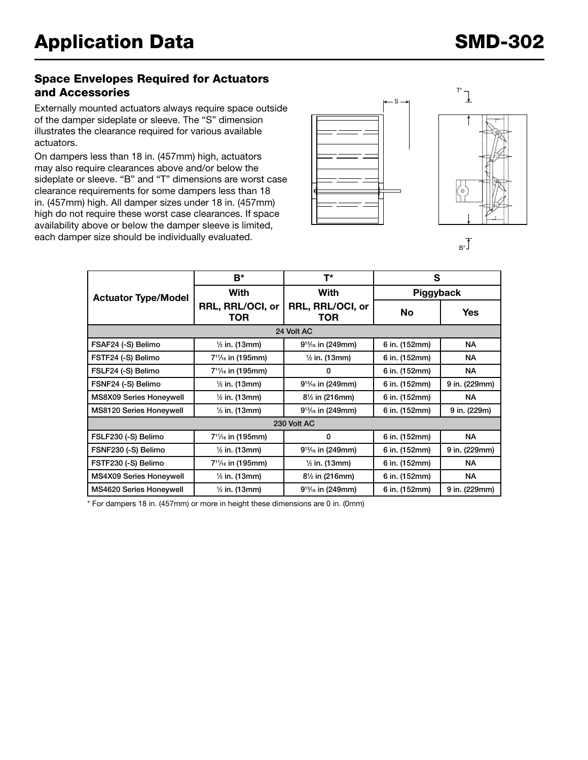#### Space Envelopes Required for Actuators and Accessories

Externally mounted actuators always require space outside of the damper sideplate or sleeve. The "S" dimension illustrates the clearance required for various available actuators.

On dampers less than 18 in. (457mm) high, actuators may also require clearances above and/or below the sideplate or sleeve. "B" and "T" dimensions are worst case clearance requirements for some dampers less than 18 in. (457mm) high. All damper sizes under 18 in. (457mm) high do not require these worst case clearances. If space availability above or below the damper sleeve is limited, each damper size should be individually evaluated.



 $E^*$ 

|                                | B*                                         | T*                                         | S             |               |  |  |
|--------------------------------|--------------------------------------------|--------------------------------------------|---------------|---------------|--|--|
| <b>Actuator Type/Model</b>     | With                                       | With                                       | Piggyback     |               |  |  |
|                                | RRL, RRL/OCI, or<br>TOR                    | RRL, RRL/OCI, or<br>TOR                    | <b>No</b>     | <b>Yes</b>    |  |  |
|                                |                                            | 24 Volt AC                                 |               |               |  |  |
| FSAF24 (-S) Belimo             | $\frac{1}{2}$ in. (13mm)                   | $9^{13}/_{16}$ in (249mm)                  | 6 in. (152mm) | <b>NA</b>     |  |  |
| FSTF24 (-S) Belimo             | 7 <sup>11</sup> / <sub>16</sub> in (195mm) | $\frac{1}{2}$ in. (13mm)                   | 6 in. (152mm) | NА            |  |  |
| FSLF24 (-S) Belimo             | 7 <sup>11</sup> / <sub>16</sub> in (195mm) | 0                                          | 6 in. (152mm) | <b>NA</b>     |  |  |
| FSNF24 (-S) Belimo             | $\frac{1}{2}$ in. (13mm)                   | $9^{13}/_{16}$ in (249mm)                  | 6 in. (152mm) | 9 in. (229mm) |  |  |
| <b>MS8X09 Series Honeywell</b> | $\frac{1}{2}$ in. (13mm)                   | $8\frac{1}{2}$ in (216mm)                  | 6 in. (152mm) | <b>NA</b>     |  |  |
| MS8120 Series Honeywell        | $\frac{1}{2}$ in. (13mm)                   | 9 <sup>13</sup> / <sub>16</sub> in (249mm) | 6 in. (152mm) | 9 in. (229m)  |  |  |
| 230 Volt AC                    |                                            |                                            |               |               |  |  |
| FSLF230 (-S) Belimo            | 7 <sup>11</sup> / <sub>16</sub> in (195mm) | 0                                          | 6 in. (152mm) | <b>NA</b>     |  |  |
| FSNF230 (-S) Belimo            | $\frac{1}{2}$ in. (13mm)                   | $9^{13}/_{16}$ in (249mm)                  | 6 in. (152mm) | 9 in. (229mm) |  |  |
| FSTF230 (-S) Belimo            | 7 <sup>11</sup> / <sub>16</sub> in (195mm) | $\frac{1}{2}$ in. (13mm)                   | 6 in. (152mm) | <b>NA</b>     |  |  |
| MS4X09 Series Honeywell        | $\frac{1}{2}$ in. (13mm)                   | $8\frac{1}{2}$ in (216mm)                  | 6 in. (152mm) | <b>NA</b>     |  |  |
| <b>MS4620 Series Honeywell</b> | $\frac{1}{2}$ in. (13mm)                   | $9^{13}/_{16}$ in (249mm)                  | 6 in. (152mm) | 9 in. (229mm) |  |  |

\* For dampers 18 in. (457mm) or more in height these dimensions are 0 in. (0mm)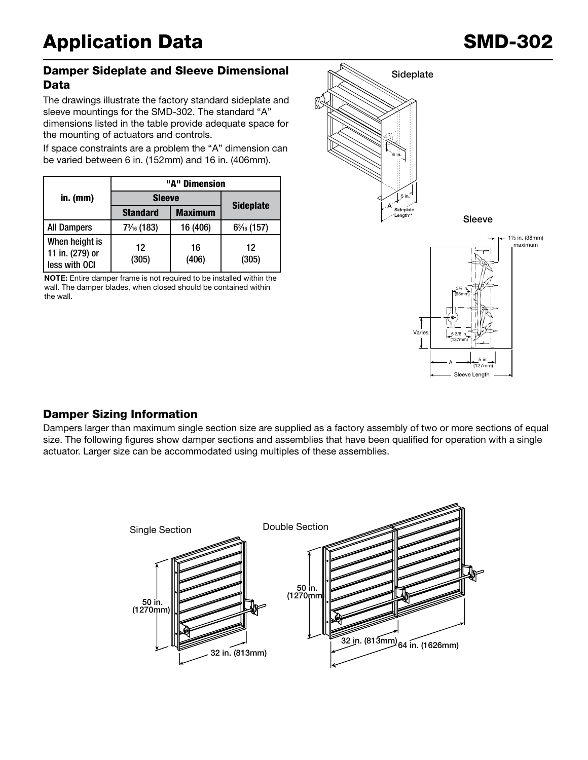#### Damper Sideplate and Sleeve Dimensional Data

The drawings illustrate the factory standard sideplate and sleeve mountings for the SMD-302. The standard "A" dimensions listed in the table provide adequate space for the mounting of actuators and controls.

If space constraints are a problem the "A" dimension can be varied between 6 in. (152mm) and 16 in. (406mm).

|                                                    | "A" Dimension         |                |                  |  |  |
|----------------------------------------------------|-----------------------|----------------|------------------|--|--|
| $in.$ (mm)                                         | <b>Sleeve</b>         |                | <b>Sideplate</b> |  |  |
|                                                    | <b>Standard</b>       | <b>Maximum</b> |                  |  |  |
| <b>All Dampers</b>                                 | $7\frac{3}{16}$ (183) | 16 (406)       | $6\%$ (157)      |  |  |
| When height is<br>11 in. (279) or<br>less with OCI | 12<br>(305)           | 16<br>(406)    | 12<br>(305)      |  |  |

NOTE: Entire damper frame is not required to be installed within the wall. The damper blades, when closed should be contained within the wall.



A

5 3/8 in. (137mm)

Varie

Sleeve Length

5 in. (127mm)

### Damper Sizing Information

actuator. Larger size can be accommodated using multiples of these assemblies. size. The following figures show damper sections and assemblies that have been qualified for operation with a single Dampers larger than maximum single section size are supplied as a factory assembly of two or more sections of equal

![](_page_4_Figure_10.jpeg)